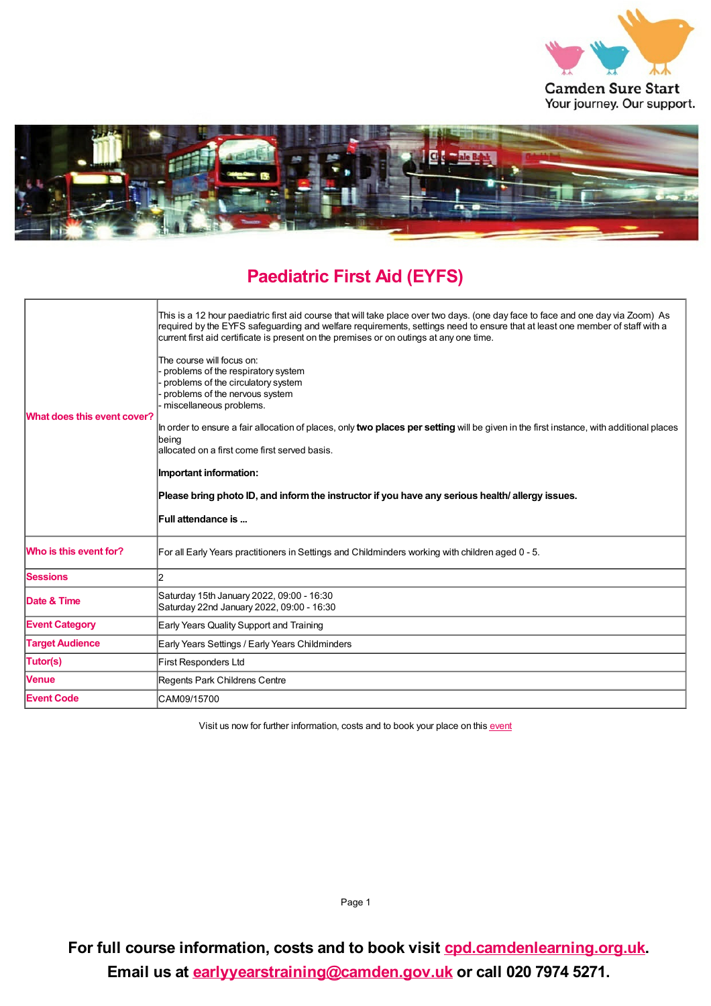



## **Paediatric First Aid (EYFS)**

| What does this event cover? | This is a 12 hour paediatric first aid course that will take place over two days. (one day face to face and one day via Zoom) As<br>required by the EYFS safeguarding and welfare requirements, settings need to ensure that at least one member of staff with a<br>current first aid certificate is present on the premises or on outings at any one time.<br>The course will focus on:<br>problems of the respiratory system<br>problems of the circulatory system<br>problems of the nervous system<br>miscellaneous problems.<br>In order to ensure a fair allocation of places, only <b>two places per setting</b> will be given in the first instance, with additional places<br> being<br>allocated on a first come first served basis.<br>Important information:<br>Please bring photo ID, and inform the instructor if you have any serious health/ allergy issues.<br>Full attendance is |
|-----------------------------|----------------------------------------------------------------------------------------------------------------------------------------------------------------------------------------------------------------------------------------------------------------------------------------------------------------------------------------------------------------------------------------------------------------------------------------------------------------------------------------------------------------------------------------------------------------------------------------------------------------------------------------------------------------------------------------------------------------------------------------------------------------------------------------------------------------------------------------------------------------------------------------------------|
| Who is this event for?      | For all Early Years practitioners in Settings and Childminders working with children aged 0 - 5.                                                                                                                                                                                                                                                                                                                                                                                                                                                                                                                                                                                                                                                                                                                                                                                                   |
| <b>Sessions</b>             | 2                                                                                                                                                                                                                                                                                                                                                                                                                                                                                                                                                                                                                                                                                                                                                                                                                                                                                                  |
| Date & Time                 | Saturday 15th January 2022, 09:00 - 16:30<br>Saturday 22nd January 2022, 09:00 - 16:30                                                                                                                                                                                                                                                                                                                                                                                                                                                                                                                                                                                                                                                                                                                                                                                                             |
| <b>Event Category</b>       | Early Years Quality Support and Training                                                                                                                                                                                                                                                                                                                                                                                                                                                                                                                                                                                                                                                                                                                                                                                                                                                           |
| <b>Target Audience</b>      | Early Years Settings / Early Years Childminders                                                                                                                                                                                                                                                                                                                                                                                                                                                                                                                                                                                                                                                                                                                                                                                                                                                    |
| Tutor(s)                    | <b>First Responders Ltd</b>                                                                                                                                                                                                                                                                                                                                                                                                                                                                                                                                                                                                                                                                                                                                                                                                                                                                        |
| <b>Venue</b>                | Regents Park Childrens Centre                                                                                                                                                                                                                                                                                                                                                                                                                                                                                                                                                                                                                                                                                                                                                                                                                                                                      |
| <b>Event Code</b>           | CAM09/15700                                                                                                                                                                                                                                                                                                                                                                                                                                                                                                                                                                                                                                                                                                                                                                                                                                                                                        |

Visit us now for further information, costs and to book your place on this [event](https://cpd.camdenlearning.org.uk/courses/bookings/c_detail.asp?cid=23107)

Page 1

**For full course information, costs and to book visit [cpd.camdenlearning.org.uk](https://cpd.camdenlearning.org.uk). Email us at [earlyyearstraining@camden.gov.uk](mailto:earlyyearstraining@camden.gov.uk) or call 020 7974 5271.**